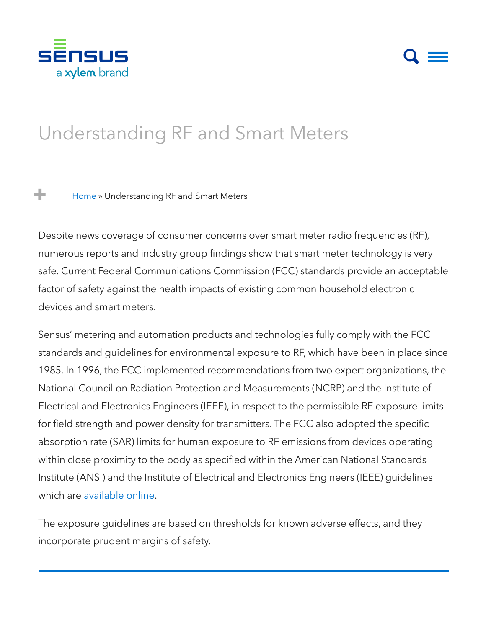

## $\mathsf{Q} \equiv$

# Unders[tanding](https://sensus.com/communication-networks/) RF and Smart Meters

[Home](https://sensus.com/) » [Understanding](https://sensus.com/services/) RF and Smart Meters entitled and Smart Meters and Smart Allen and Smart Allen and Smart A ÷

factor of safety against the health impacts of existing common household electronic devices and smart meters. news and the contract of the contract of the contract of the contract of the contract of the contract of the contract of the contract of the contract of the contract of the contract of the contract of the contract of the c Despite news coverage of consumer concerns over smart meter radio frequencies (RF), numerous reports and industry group findings show that smart meter [technology](https://sensus.com/news-events/) is very safe. Current Federal Communications Commission (FCC) standards provide an acceptable

Sensus' metering and automation products and technologies fully comply with the FCC standards and guidelines for environmental exposure to RF, which have been in place since 1985. In 1996, the FCC implemented recommendations from two expert organizations, the  $\overline{\phantom{a}}$ for field strength and power density for transmitters. The FCC also adopted the specific absorption rate (SAR) limits for human exposure to RF emissions from devices operating  $D_{\text{min}}$  to the bot National Council on Radiation Protection and Measurements (NCRP) and the Institute of Electrical and Electronics Engineers (IEEE), in respect to the permissible RF exposure limits within close proximity to the body as specified within the American National Standards Institute (ANSI) and the Institute of Electrical and Electronics Engineers (IEEE) guidelines which are [available](http://www.fcc.gov/oet/rfsafety/rf-faqs.html) online.

The exposure guidelines are based on thresholds for known adverse effects, and they incorporate prudent margins of safety.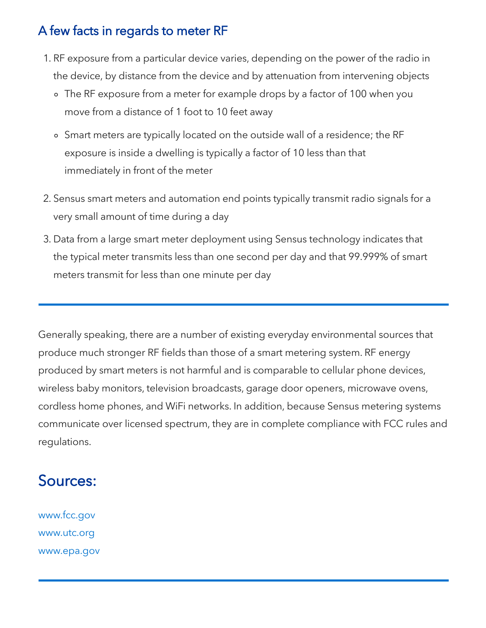#### A few facts in regards to meter RF

- 1. RF exposure from a particular device varies, depending on the power of the radio in the device, by distance from the device and by attenuation from intervening objects
	- The RF exposure from a meter for example drops by a factor of 100 when you move from a distance of 1 foot to 10 feet away
	- Smart meters are typically located on the outside wall of a residence; the RF exposure is inside a dwelling is typically a factor of 10 less than that immediately in front of the meter
- 2. Sensus smart meters and automation end points typically transmit radio signals for a very small amount of time during a day
- 3. Data from a large smart meter deployment using Sensus technology indicates that the typical meter transmits less than one second per day and that 99.999% of smart meters transmit for less than one minute per day

Generally speaking, there are a number of existing everyday environmental sources that produce much stronger RF fields than those of a smart metering system. RF energy produced by smart meters is not harmful and is comparable to cellular phone devices, wireless baby monitors, television broadcasts, garage door openers, microwave ovens, cordless home phones, and WiFi networks. In addition, because Sensus metering systems communicate over licensed spectrum, they are in complete compliance with FCC rules and regulations.

#### Sources:

[www.fcc.gov](http://www.fcc.gov/) [www.utc.org](http://www.utc.org/) [www.epa.gov](http://www.epa.gov/)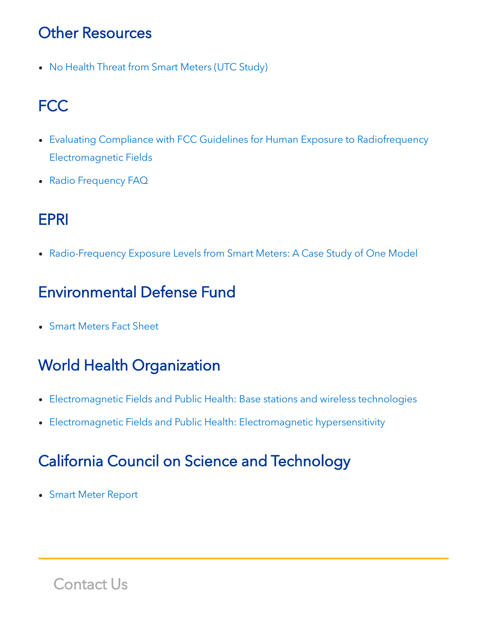### Other Resources

• No Health Threat from Smart [Meters](http://go.sensus.com/rs/306-CJR-109/images/SmartMeter-NoHealthThreat.pdf) (UTC Study)

### FCC

- Evaluating Compliance with FCC Guidelines for Human Exposure to Radiofrequency [Electromagnetic](http://www.fcc.gov/Bureaus/Engineering_Technology/Documents/bulletins/oet65/oet65.pdf) Fields
- Radio [Frequency](http://www.fcc.gov/oet/rfsafety/rf-faqs.html) FAQ

### EPRI

• [Radio-Frequency](http://www.socalgas.com/documents/ami/EPRI_1022270.pdf) Exposure Levels from Smart Meters: A Case Study of One Model

### Environmental Defense Fund

Smart [Meters](http://go.sensus.com/rs/306-CJR-109/images/EDFFactSheetSmartMeters.pdf) Fact Sheet

### World Health Organization

- [Electromagnetic](http://www.who.int/mediacentre/factsheets/fs304/en/index.html) Fields and Public Health: Base stations and wireless technologies
- [Electromagnetic](http://www.who.int/mediacentre/factsheets/fs296/en/index.html) Fields and Public Health: Electromagnetic hypersensitivity

### California Council on Science and Technology

Smart Meter [Report](http://www.ccst.us/publications/2011/2011smart-final.pdf)

Contact Us